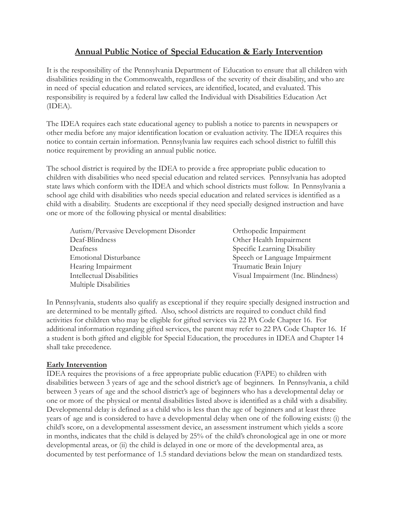# **Annual Public Notice of Special Education & Early Intervention**

It is the responsibility of the Pennsylvania Department of Education to ensure that all children with disabilities residing in the Commonwealth, regardless of the severity of their disability, and who are in need of special education and related services, are identified, located, and evaluated. This responsibility is required by a federal law called the Individual with Disabilities Education Act (IDEA).

The IDEA requires each state educational agency to publish a notice to parents in newspapers or other media before any major identification location or evaluation activity. The IDEA requires this notice to contain certain information. Pennsylvania law requires each school district to fulfill this notice requirement by providing an annual public notice.

The school district is required by the IDEA to provide a free appropriate public education to children with disabilities who need special education and related services. Pennsylvania has adopted state laws which conform with the IDEA and which school districts must follow. In Pennsylvania a school age child with disabilities who needs special education and related services is identified as a child with a disability. Students are exceptional if they need specially designed instruction and have one or more of the following physical or mental disabilities:

| Autism/Pervasive Development Disorder | Orthopedic Impairment              |
|---------------------------------------|------------------------------------|
| Deaf-Blindness                        | Other Health Impairment            |
| Deafness                              | Specific Learning Disability       |
| <b>Emotional Disturbance</b>          | Speech or Language Impairment      |
| Hearing Impairment                    | Traumatic Brain Injury             |
| <b>Intellectual Disabilities</b>      | Visual Impairment (Inc. Blindness) |
| Multiple Disabilities                 |                                    |

In Pennsylvania, students also qualify as exceptional if they require specially designed instruction and are determined to be mentally gifted. Also, school districts are required to conduct child find activities for children who may be eligible for gifted services via 22 PA Code Chapter 16. For additional information regarding gifted services, the parent may refer to 22 PA Code Chapter 16. If a student is both gifted and eligible for Special Education, the procedures in IDEA and Chapter 14 shall take precedence.

# **Early Intervention**

IDEA requires the provisions of a free appropriate public education (FAPE) to children with disabilities between 3 years of age and the school district's age of beginners. In Pennsylvania, a child between 3 years of age and the school district's age of beginners who has a developmental delay or one or more of the physical or mental disabilities listed above is identified as a child with a disability. Developmental delay is defined as a child who is less than the age of beginners and at least three years of age and is considered to have a developmental delay when one of the following exists: (i) the child's score, on a developmental assessment device, an assessment instrument which yields a score in months, indicates that the child is delayed by 25% of the child's chronological age in one or more developmental areas, or (ii) the child is delayed in one or more of the developmental area, as documented by test performance of 1.5 standard deviations below the mean on standardized tests.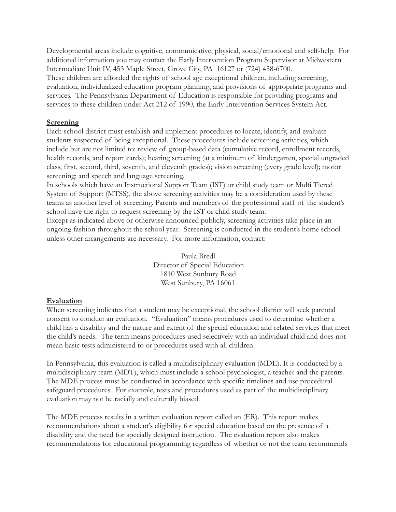Developmental areas include cognitive, communicative, physical, social/emotional and self-help. For additional information you may contact the Early Intervention Program Supervisor at Midwestern Intermediate Unit IV, 453 Maple Street, Grove City, PA 16127 or (724) 458-6700. These children are afforded the rights of school age exceptional children, including screening, evaluation, individualized education program planning, and provisions of appropriate programs and services. The Pennsylvania Department of Education is responsible for providing programs and services to these children under Act 212 of 1990, the Early Intervention Services System Act.

### **Screening**

Each school district must establish and implement procedures to locate, identify, and evaluate students suspected of being exceptional. These procedures include screening activities, which include but are not limited to: review of group-based data (cumulative record, enrollment records, health records, and report cards); hearing screening (at a minimum of kindergarten, special ungraded class, first, second, third, seventh, and eleventh grades); vision screening (every grade level); motor screening; and speech and language screening.

In schools which have an Instructional Support Team (IST) or child study team or Multi Tiered System of Support (MTSS), the above screening activities may be a consideration used by these teams as another level of screening. Parents and members of the professional staff of the student's school have the right to request screening by the IST or child study team.

Except as indicated above or otherwise announced publicly, screening activities take place in an ongoing fashion throughout the school year. Screening is conducted in the student's home school unless other arrangements are necessary. For more information, contact:

> Paula Bredl Director of Special Education 1810 West Sunbury Road West Sunbury, PA 16061

# **Evaluation**

When screening indicates that a student may be exceptional, the school district will seek parental consent to conduct an evaluation. "Evaluation" means procedures used to determine whether a child has a disability and the nature and extent of the special education and related services that meet the child's needs. The term means procedures used selectively with an individual child and does not mean basic tests administered to or procedures used with all children.

In Pennsylvania, this evaluation is called a multidisciplinary evaluation (MDE). It is conducted by a multidisciplinary team (MDT), which must include a school psychologist, a teacher and the parents. The MDE process must be conducted in accordance with specific timelines and use procedural safeguard procedures. For example, tests and procedures used as part of the multidisciplinary evaluation may not be racially and culturally biased.

The MDE process results in a written evaluation report called an (ER). This report makes recommendations about a student's eligibility for special education based on the presence of a disability and the need for specially designed instruction. The evaluation report also makes recommendations for educational programming regardless of whether or not the team recommends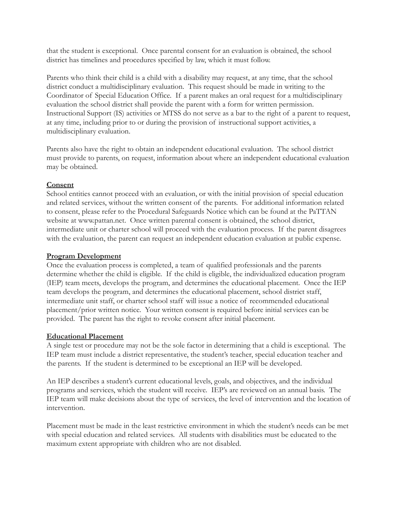that the student is exceptional. Once parental consent for an evaluation is obtained, the school district has timelines and procedures specified by law, which it must follow.

Parents who think their child is a child with a disability may request, at any time, that the school district conduct a multidisciplinary evaluation. This request should be made in writing to the Coordinator of Special Education Office. If a parent makes an oral request for a multidisciplinary evaluation the school district shall provide the parent with a form for written permission. Instructional Support (IS) activities or MTSS do not serve as a bar to the right of a parent to request, at any time, including prior to or during the provision of instructional support activities, a multidisciplinary evaluation.

Parents also have the right to obtain an independent educational evaluation. The school district must provide to parents, on request, information about where an independent educational evaluation may be obtained.

## **Consent**

School entities cannot proceed with an evaluation, or with the initial provision of special education and related services, without the written consent of the parents. For additional information related to consent, please refer to the Procedural Safeguards Notice which can be found at the PaTTAN website at www.pattan.net. Once written parental consent is obtained, the school district, intermediate unit or charter school will proceed with the evaluation process. If the parent disagrees with the evaluation, the parent can request an independent education evaluation at public expense.

## **Program Development**

Once the evaluation process is completed, a team of qualified professionals and the parents determine whether the child is eligible. If the child is eligible, the individualized education program (IEP) team meets, develops the program, and determines the educational placement. Once the IEP team develops the program, and determines the educational placement, school district staff, intermediate unit staff, or charter school staff will issue a notice of recommended educational placement/prior written notice. Your written consent is required before initial services can be provided. The parent has the right to revoke consent after initial placement.

#### **Educational Placement**

A single test or procedure may not be the sole factor in determining that a child is exceptional. The IEP team must include a district representative, the student's teacher, special education teacher and the parents. If the student is determined to be exceptional an IEP will be developed.

An IEP describes a student's current educational levels, goals, and objectives, and the individual programs and services, which the student will receive. IEP's are reviewed on an annual basis. The IEP team will make decisions about the type of services, the level of intervention and the location of intervention.

Placement must be made in the least restrictive environment in which the student's needs can be met with special education and related services. All students with disabilities must be educated to the maximum extent appropriate with children who are not disabled.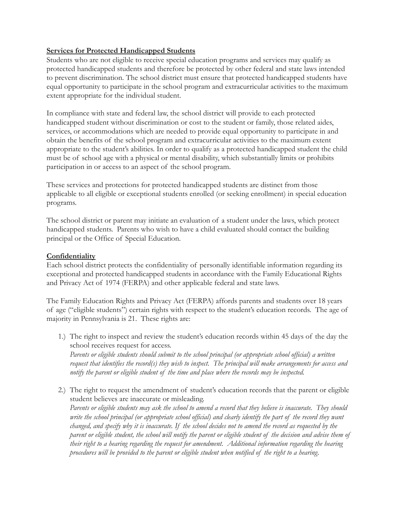## **Services for Protected Handicapped Students**

Students who are not eligible to receive special education programs and services may qualify as protected handicapped students and therefore be protected by other federal and state laws intended to prevent discrimination. The school district must ensure that protected handicapped students have equal opportunity to participate in the school program and extracurricular activities to the maximum extent appropriate for the individual student.

In compliance with state and federal law, the school district will provide to each protected handicapped student without discrimination or cost to the student or family, those related aides, services, or accommodations which are needed to provide equal opportunity to participate in and obtain the benefits of the school program and extracurricular activities to the maximum extent appropriate to the student's abilities. In order to qualify as a protected handicapped student the child must be of school age with a physical or mental disability, which substantially limits or prohibits participation in or access to an aspect of the school program.

These services and protections for protected handicapped students are distinct from those applicable to all eligible or exceptional students enrolled (or seeking enrollment) in special education programs.

The school district or parent may initiate an evaluation of a student under the laws, which protect handicapped students. Parents who wish to have a child evaluated should contact the building principal or the Office of Special Education.

## **Confidentiality**

Each school district protects the confidentiality of personally identifiable information regarding its exceptional and protected handicapped students in accordance with the Family Educational Rights and Privacy Act of 1974 (FERPA) and other applicable federal and state laws.

The Family Education Rights and Privacy Act (FERPA) affords parents and students over 18 years of age ("eligible students") certain rights with respect to the student's education records. The age of majority in Pennsylvania is 21. These rights are:

1.) The right to inspect and review the student's education records within 45 days of the day the school receives request for access.

*Parents or eligible students should submit to the school principal (or appropriate school official) a written request that identifies the record(s) they wish to inspect. The principal will make arrangements for access and notify the parent or eligible student of the time and place where the records may be inspected.*

2.) The right to request the amendment of student's education records that the parent or eligible student believes are inaccurate or misleading. *Parents or eligible students may ask the school to amend a record that they believe is inaccurate. They should write the school principal (or appropriate school official) and clearly identify the part of the record they want changed, and specify why it is inaccurate. If the school decides not to amend the record as requested by the parent or eligible student, the school will notify the parent or eligible student of the decision and advise them of their right to a hearing regarding the request for amendment. Additional information regarding the hearing procedures will be provided to the parent or eligible student when notified of the right to a hearing.*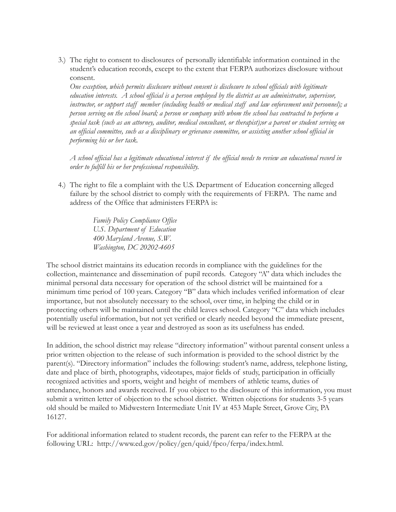3.) The right to consent to disclosures of personally identifiable information contained in the student's education records, except to the extent that FERPA authorizes disclosure without consent.

*One exception, which permits disclosure without consent is disclosure to school officials with legitimate education interests. A school official is a person employed by the district as an administrator, supervisor, instructor, or support staff member (including health or medical staff and law enforcement unit personnel); a person serving on the school board; a person or company with whom the school has contracted to perform a special task (such as an attorney, auditor, medical consultant, or therapist);or a parent or student serving on an official committee, such as a disciplinary or grievance committee, or assisting another school official in performing his or her task.*

*A school official has a legitimate educational interest if the official needs to review an educational record in order to fulfill his or her professional responsibility.*

4.) The right to file a complaint with the U.S. Department of Education concerning alleged failure by the school district to comply with the requirements of FERPA. The name and address of the Office that administers FERPA is:

> *Family Policy Compliance Office U.S. Department of Education 400 Maryland Avenue, S.W. Washington, DC 20202-4605*

The school district maintains its education records in compliance with the guidelines for the collection, maintenance and dissemination of pupil records. Category "A" data which includes the minimal personal data necessary for operation of the school district will be maintained for a minimum time period of 100 years. Category "B" data which includes verified information of clear importance, but not absolutely necessary to the school, over time, in helping the child or in protecting others will be maintained until the child leaves school. Category "C" data which includes potentially useful information, but not yet verified or clearly needed beyond the immediate present, will be reviewed at least once a year and destroyed as soon as its usefulness has ended.

In addition, the school district may release "directory information" without parental consent unless a prior written objection to the release of such information is provided to the school district by the parent(s). "Directory information" includes the following: student's name, address, telephone listing, date and place of birth, photographs, videotapes, major fields of study, participation in officially recognized activities and sports, weight and height of members of athletic teams, duties of attendance, honors and awards received. If you object to the disclosure of this information, you must submit a written letter of objection to the school district. Written objections for students 3-5 years old should be mailed to Midwestern Intermediate Unit IV at 453 Maple Street, Grove City, PA 16127.

For additional information related to student records, the parent can refer to the FERPA at the following URL: http://www.ed.gov/policy/gen/quid/fpco/ferpa/index.html.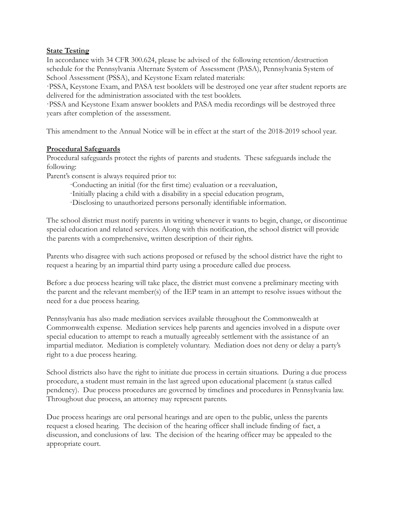#### **State Testing**

In accordance with 34 CFR 300.624, please be advised of the following retention/destruction schedule for the Pennsylvania Alternate System of Assessment (PASA), Pennsylvania System of School Assessment (PSSA), and Keystone Exam related materials:

·PSSA, Keystone Exam, and PASA test booklets will be destroyed one year after student reports are delivered for the administration associated with the test booklets.

·PSSA and Keystone Exam answer booklets and PASA media recordings will be destroyed three years after completion of the assessment.

This amendment to the Annual Notice will be in effect at the start of the 2018-2019 school year.

#### **Procedural Safeguards**

Procedural safeguards protect the rights of parents and students. These safeguards include the following:

Parent's consent is always required prior to:

- ·Conducting an initial (for the first time) evaluation or a reevaluation,
- ·Initially placing a child with a disability in a special education program,
- ·Disclosing to unauthorized persons personally identifiable information.

The school district must notify parents in writing whenever it wants to begin, change, or discontinue special education and related services. Along with this notification, the school district will provide the parents with a comprehensive, written description of their rights.

Parents who disagree with such actions proposed or refused by the school district have the right to request a hearing by an impartial third party using a procedure called due process.

Before a due process hearing will take place, the district must convene a preliminary meeting with the parent and the relevant member(s) of the IEP team in an attempt to resolve issues without the need for a due process hearing.

Pennsylvania has also made mediation services available throughout the Commonwealth at Commonwealth expense. Mediation services help parents and agencies involved in a dispute over special education to attempt to reach a mutually agreeably settlement with the assistance of an impartial mediator. Mediation is completely voluntary. Mediation does not deny or delay a party's right to a due process hearing.

School districts also have the right to initiate due process in certain situations. During a due process procedure, a student must remain in the last agreed upon educational placement (a status called pendency). Due process procedures are governed by timelines and procedures in Pennsylvania law. Throughout due process, an attorney may represent parents.

Due process hearings are oral personal hearings and are open to the public, unless the parents request a closed hearing. The decision of the hearing officer shall include finding of fact, a discussion, and conclusions of law. The decision of the hearing officer may be appealed to the appropriate court.